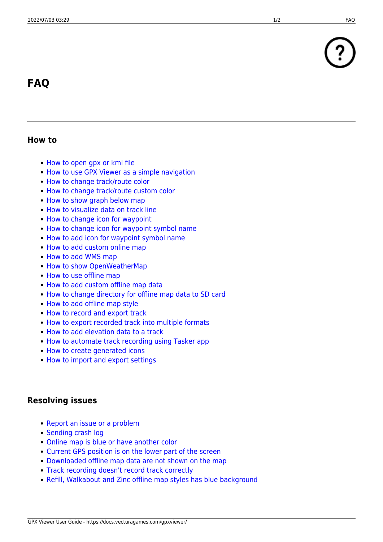# **FAQ**

## **How to**

- [How to open gpx or kml file](https://docs.vecturagames.com/gpxviewer/doku.php?id=docs:faq:how_to:open_file)
- [How to use GPX Viewer as a simple navigation](https://docs.vecturagames.com/gpxviewer/doku.php?id=docs:faq:how_to:simple_navigation)
- [How to change track/route color](https://docs.vecturagames.com/gpxviewer/doku.php?id=docs:faq:how_to:track_color)
- [How to change track/route custom color](https://docs.vecturagames.com/gpxviewer/doku.php?id=docs:faq:how_to:track_custom_color)
- [How to show graph below map](https://docs.vecturagames.com/gpxviewer/doku.php?id=docs:faq:how_to:graph_below_map)
- [How to visualize data on track line](https://docs.vecturagames.com/gpxviewer/doku.php?id=docs:faq:how_to:visualize_line_data)
- [How to change icon for waypoint](https://docs.vecturagames.com/gpxviewer/doku.php?id=docs:faq:how_to:change_waypoint_icon)
- [How to change icon for waypoint symbol name](https://docs.vecturagames.com/gpxviewer/doku.php?id=docs:faq:how_to:change_waypoint_symbol_icon)
- [How to add icon for waypoint symbol name](https://docs.vecturagames.com/gpxviewer/doku.php?id=docs:faq:how_to:add_waypoint_symbol_icon)
- [How to add custom online map](https://docs.vecturagames.com/gpxviewer/doku.php?id=docs:faq:how_to:add_custom_online_map)
- [How to add WMS map](https://docs.vecturagames.com/gpxviewer/doku.php?id=docs:faq:how_to:add_wms_map)
- [How to show OpenWeatherMap](https://docs.vecturagames.com/gpxviewer/doku.php?id=docs:faq:how_to:show_openweathermap)
- [How to use offline map](https://docs.vecturagames.com/gpxviewer/doku.php?id=docs:faq:how_to:offline_maps)
- [How to add custom offline map data](https://docs.vecturagames.com/gpxviewer/doku.php?id=docs:faq:how_to:offline_map_raster)
- [How to change directory for offline map data to SD card](https://docs.vecturagames.com/gpxviewer/doku.php?id=docs:faq:how_to:offline_maps_directory)
- [How to add offline map style](https://docs.vecturagames.com/gpxviewer/doku.php?id=docs:faq:how_to:offline_maps_style)
- [How to record and export track](https://docs.vecturagames.com/gpxviewer/doku.php?id=docs:faq:how_to:record_track)
- [How to export recorded track into multiple formats](https://docs.vecturagames.com/gpxviewer/doku.php?id=docs:faq:how_to:record_track_multiple_format_export)
- [How to add elevation data to a track](https://docs.vecturagames.com/gpxviewer/doku.php?id=docs:faq:how_to:add_elevation_data)
- [How to automate track recording using Tasker app](https://docs.vecturagames.com/gpxviewer/doku.php?id=docs:faq:how_to:automate_track_recording_tasker)
- [How to create generated icons](https://docs.vecturagames.com/gpxviewer/doku.php?id=docs:faq:how_to:generated_waypoint_icon)
- [How to import and export settings](https://docs.vecturagames.com/gpxviewer/doku.php?id=docs:faq:how_to:export_import_settings)

#### **Resolving issues**

- [Report an issue or a problem](https://support.vecturagames.com/gpxviewer)
- [Sending crash log](https://docs.vecturagames.com/gpxviewer/doku.php?id=docs:faq:issue:sending_crash_log)
- [Online map is blue or have another color](https://docs.vecturagames.com/gpxviewer/doku.php?id=docs:faq:issue:blue_online)
- [Current GPS position is on the lower part of the screen](https://docs.vecturagames.com/gpxviewer/doku.php?id=docs:faq:issue:gps_position_lower_part)
- [Downloaded offline map data are not shown on the map](https://docs.vecturagames.com/gpxviewer/doku.php?id=docs:faq:issue:offline_maps_not_shown_on_map)
- [Track recording doesn't record track correctly](https://docs.vecturagames.com/gpxviewer/doku.php?id=docs:faq:issue:track_recording_not_working)
- [Refill, Walkabout and Zinc offline map styles has blue background](https://docs.vecturagames.com/gpxviewer/doku.php?id=docs:faq:issue:walkabout_blue_color)